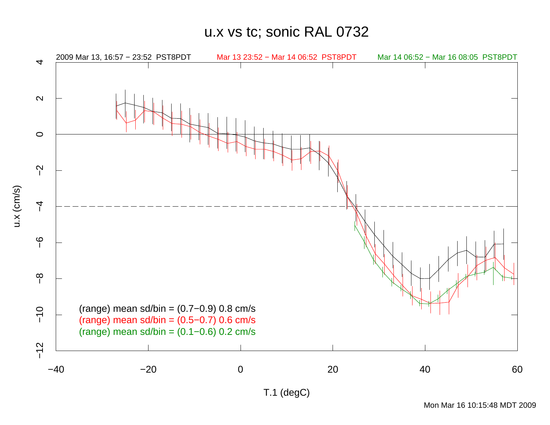u.x vs tc; sonic RAL 0732

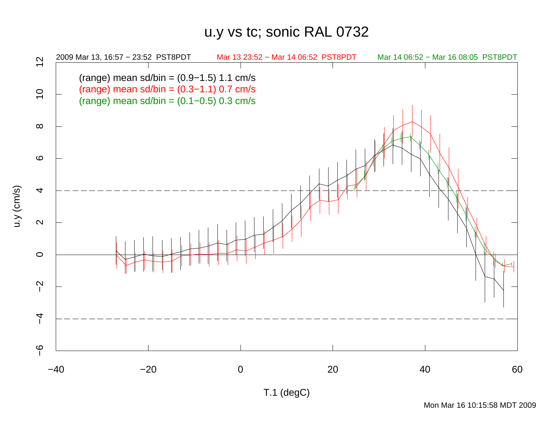## u.y vs tc; sonic RAL 0732



Mon Mar 16 10:15:58 MDT 2009